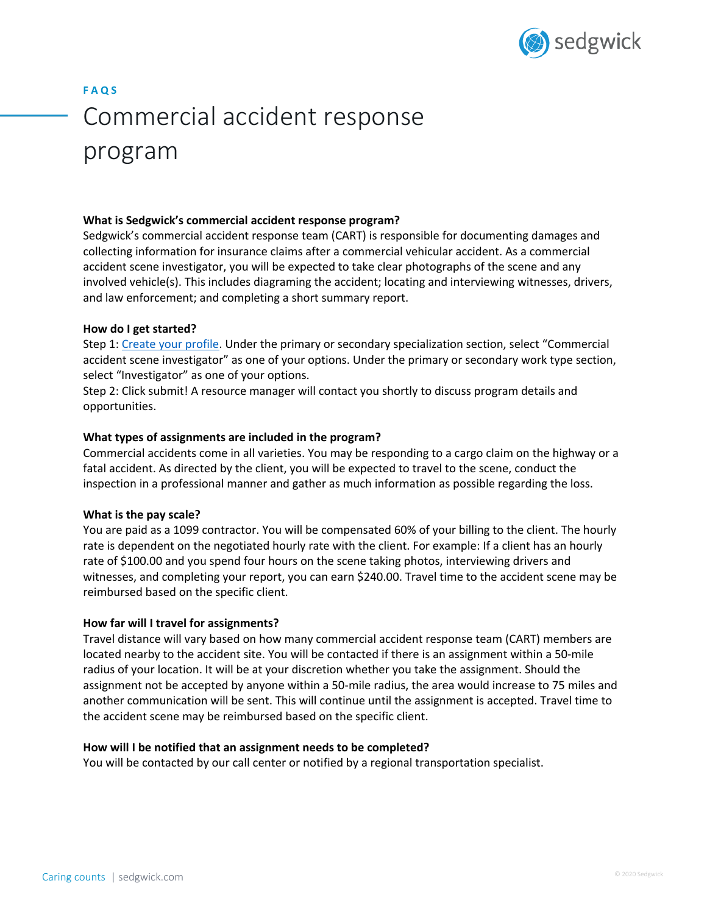

# **F A Q S** Commercial accident response program

### **What is Sedgwick's commercial accident response program?**

Sedgwick's commercial accident response team (CART) is responsible for documenting damages and collecting information for insurance claims after a commercial vehicular accident. As a commercial accident scene investigator, you will be expected to take clear photographs of the scene and any involved vehicle(s). This includes diagraming the accident; locating and interviewing witnesses, drivers, and law enforcement; and completing a short summary report.

#### **How do I get started?**

Step 1: Create your profile. Under the primary or secondary specialization section, select "Commercial accident scene investigator" as one of your options. Under the primary or secondary work type section, select "Investigator" as one of your options.

Step 2: Click submit! A resource manager will contact you shortly to discuss program details and opportunities.

#### **What types of assignments are included in the program?**

Commercial accidents come in all varieties. You may be responding to a cargo claim on the highway or a fatal accident. As directed by the client, you will be expected to travel to the scene, conduct the inspection in a professional manner and gather as much information as possible regarding the loss.

#### **What is the pay scale?**

You are paid as a 1099 contractor. You will be compensated 60% of your billing to the client. The hourly rate is dependent on the negotiated hourly rate with the client. For example: If a client has an hourly rate of \$100.00 and you spend four hours on the scene taking photos, interviewing drivers and witnesses, and completing your report, you can earn \$240.00. Travel time to the accident scene may be reimbursed based on the specific client.

#### **How far will I travel for assignments?**

Travel distance will vary based on how many commercial accident response team (CART) members are located nearby to the accident site. You will be contacted if there is an assignment within a 50-mile radius of your location. It will be at your discretion whether you take the assignment. Should the assignment not be accepted by anyone within a 50-mile radius, the area would increase to 75 miles and another communication will be sent. This will continue until the assignment is accepted. Travel time to the accident scene may be reimbursed based on the specific client.

#### **How will I be notified that an assignment needs to be completed?**

You will be contacted by our call center or notified by a regional transportation specialist.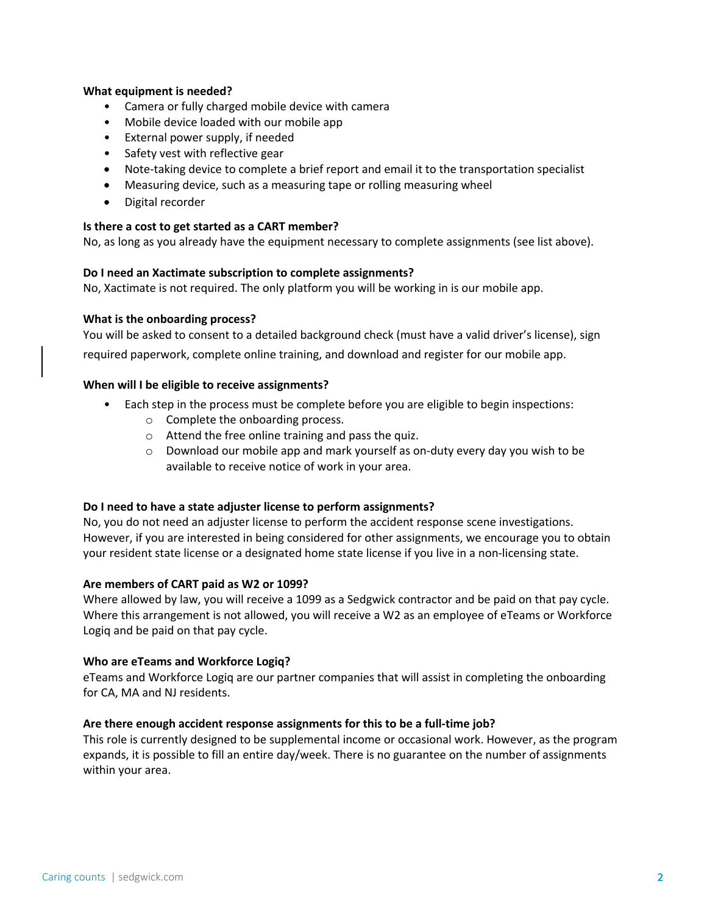### **What equipment is needed?**

- Camera or fully charged mobile device with camera
- Mobile device loaded with our mobile app
- External power supply, if needed
- Safety vest with reflective gear
- Note-taking device to complete a brief report and email it to the transportation specialist
- Measuring device, such as a measuring tape or rolling measuring wheel
- Digital recorder

#### **Is there a cost to get started as a CART member?**

No, as long as you already have the equipment necessary to complete assignments (see list above).

#### **Do I need an Xactimate subscription to complete assignments?**

No, Xactimate is not required. The only platform you will be working in is our mobile app.

#### **What is the onboarding process?**

You will be asked to consent to a detailed background check (must have a valid driver's license), sign required paperwork, complete online training, and download and register for our mobile app.

#### **When will I be eligible to receive assignments?**

- Each step in the process must be complete before you are eligible to begin inspections:
	- o Complete the onboarding process.
	- o Attend the free online training and pass the quiz.
	- $\circ$  Download our mobile app and mark yourself as on-duty every day you wish to be available to receive notice of work in your area.

#### **Do I need to have a state adjuster license to perform assignments?**

No, you do not need an adjuster license to perform the accident response scene investigations. However, if you are interested in being considered for other assignments, we encourage you to obtain your resident state license or a designated home state license if you live in a non-licensing state.

#### **Are members of CART paid as W2 or 1099?**

Where allowed by law, you will receive a 1099 as a Sedgwick contractor and be paid on that pay cycle. Where this arrangement is not allowed, you will receive a W2 as an employee of eTeams or Workforce Logiq and be paid on that pay cycle.

#### **Who are eTeams and Workforce Logiq?**

eTeams and Workforce Logiq are our partner companies that will assist in completing the onboarding for CA, MA and NJ residents.

#### **Are there enough accident response assignments for this to be a full-time job?**

This role is currently designed to be supplemental income or occasional work. However, as the program expands, it is possible to fill an entire day/week. There is no guarantee on the number of assignments within your area.